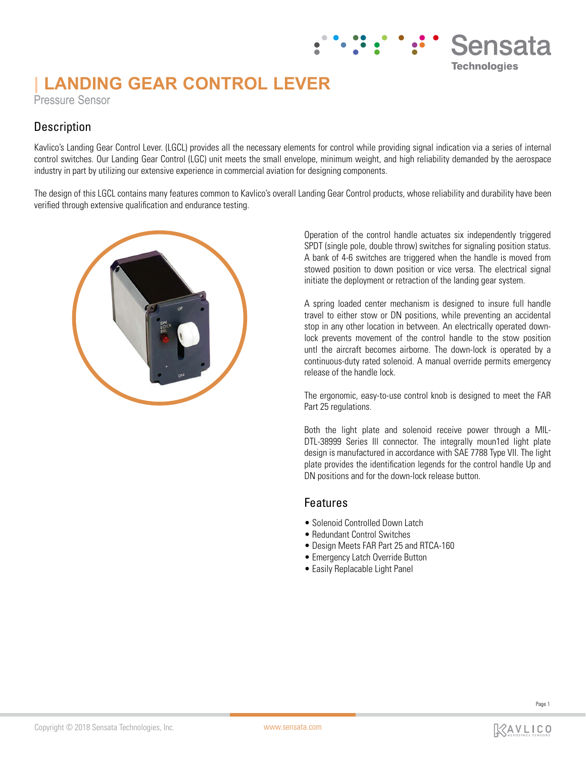# **| LANDING GEAR CONTROL LEVER**

Pressure Sensor

### **Description**

Kavlico's Landing Gear Control Lever. (LGCL) provides all the necessary elements for control while providing signal indication via a series of internal control switches. Our Landing Gear Control (LGC) unit meets the small envelope, minimum weight, and high reliability demanded by the aerospace industry in part by utilizing our extensive experience in commercial aviation for designing components.

The design of this LGCL contains many features common to Kavlico's overall Landing Gear Control products, whose reliability and durability have been verified through extensive qualification and endurance testing.



Operation of the control handle actuates six independently triggered SPDT (single pole, double throw) switches for signaling position status. A bank of 4-6 switches are triggered when the handle is moved from stowed position to down position or vice versa. The electrical signal initiate the deployment or retraction of the landing gear system.

Sensata

**Technologies** 

A spring loaded center mechanism is designed to insure full handle travel to either stow or DN positions, while preventing an accidental stop in any other location in betvveen. An electrically operated downlock prevents movement of the control handle to the stow position untl the aircraft becomes airborne. The down-lock is operated by a continuous-duty rated solenoid. A manual override permits emergency release of the handle lock.

The ergonomic, easy-to-use control knob is designed to meet the FAR Part 25 regulations.

Both the light plate and solenoid receive power through a MIL-DTL-38999 Series Ill connector. The integrally moun1ed light plate design is manufactured in accordance with SAE 7788 Type VII. The light plate provides the identification legends for the control handle Up and DN positions and for the down-lock release button.

### Features

- Solenoid Controlled Down Latch
- Redundant Control Switches
- Design Meets FAR Part 25 and RTCA-160
- Emergency Latch Override Button
- Easily Replacable Light Panel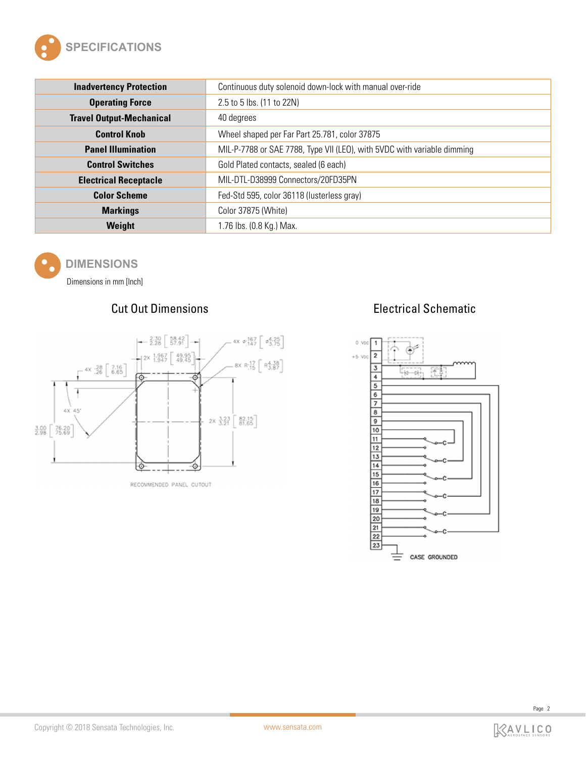

| <b>Inadvertency Protection</b>  | Continuous duty solenoid down-lock with manual over-ride                |
|---------------------------------|-------------------------------------------------------------------------|
| <b>Operating Force</b>          | 2.5 to 5 lbs. (11 to 22N)                                               |
| <b>Travel Output-Mechanical</b> | 40 degrees                                                              |
| <b>Control Knob</b>             | Wheel shaped per Far Part 25.781, color 37875                           |
| <b>Panel Illumination</b>       | MIL-P-7788 or SAE 7788, Type VII (LEO), with 5VDC with variable dimming |
| <b>Control Switches</b>         | Gold Plated contacts, sealed (6 each)                                   |
| <b>Electrical Receptacle</b>    | MIL-DTL-D38999 Connectors/20FD35PN                                      |
| <b>Color Scheme</b>             | Fed-Std 595, color 36118 (lusterless gray)                              |
| <b>Markings</b>                 | Color 37875 (White)                                                     |
| Weight                          | 1.76 lbs. (0.8 Kg.) Max.                                                |



### **DIMENSIONS**

Dimensions in mm [Inch]



RECOMMENDED PANEL CUTOUT

## Cut Out Dimensions Electrical Schematic



Page 2